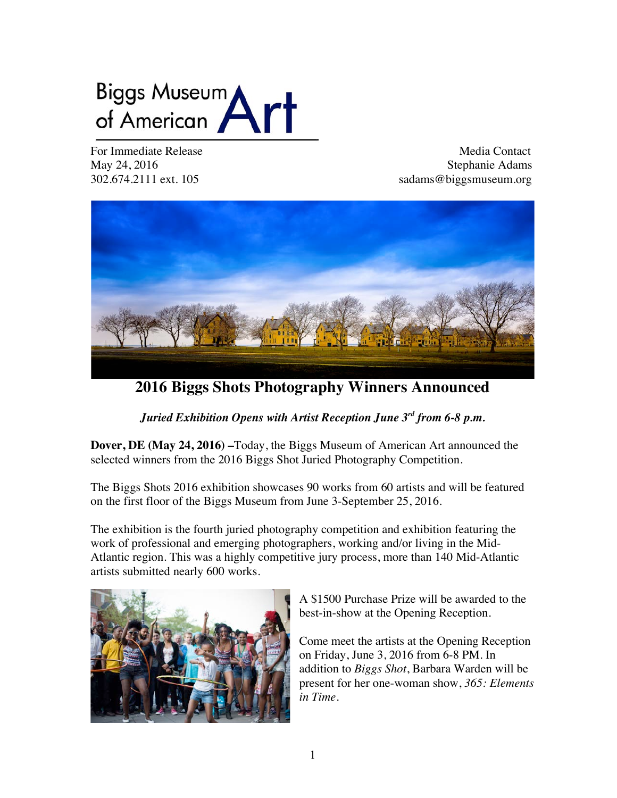## Biggs Museum<br>of American

For Immediate Release and the set of the Media Contact Media Contact May 24, 2016 Stephanie Adams 302.674.2111 ext. 105 sadams@biggsmuseum.org



**2016 Biggs Shots Photography Winners Announced** 

*Juried Exhibition Opens with Artist Reception June 3rd from 6-8 p.m.*

**Dover, DE (May 24, 2016) –**Today, the Biggs Museum of American Art announced the selected winners from the 2016 Biggs Shot Juried Photography Competition.

The Biggs Shots 2016 exhibition showcases 90 works from 60 artists and will be featured on the first floor of the Biggs Museum from June 3-September 25, 2016.

The exhibition is the fourth juried photography competition and exhibition featuring the work of professional and emerging photographers, working and/or living in the Mid-Atlantic region. This was a highly competitive jury process, more than 140 Mid-Atlantic artists submitted nearly 600 works.



A \$1500 Purchase Prize will be awarded to the best-in-show at the Opening Reception.

Come meet the artists at the Opening Reception on Friday, June 3, 2016 from 6-8 PM. In addition to *Biggs Shot*, Barbara Warden will be present for her one-woman show, *365: Elements in Time*.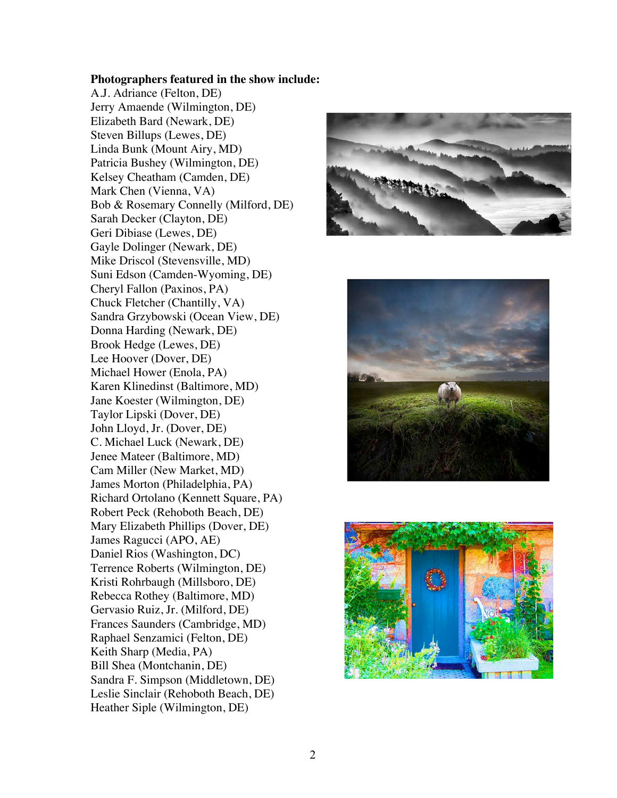## **Photographers featured in the show include:**

A.J. Adriance (Felton, DE) Jerry Amaende (Wilmington, DE) Elizabeth Bard (Newark, DE) Steven Billups (Lewes, DE) Linda Bunk (Mount Airy, MD) Patricia Bushey (Wilmington, DE) Kelsey Cheatham (Camden, DE) Mark Chen (Vienna, VA) Bob & Rosemary Connelly (Milford, DE) Sarah Decker (Clayton, DE) Geri Dibiase (Lewes, DE) Gayle Dolinger (Newark, DE) Mike Driscol (Stevensville, MD) Suni Edson (Camden-Wyoming, DE) Cheryl Fallon (Paxinos, PA) Chuck Fletcher (Chantilly, VA) Sandra Grzybowski (Ocean View, DE) Donna Harding (Newark, DE) Brook Hedge (Lewes, DE) Lee Hoover (Dover, DE) Michael Hower (Enola, PA) Karen Klinedinst (Baltimore, MD) Jane Koester (Wilmington, DE) Taylor Lipski (Dover, DE) John Lloyd, Jr. (Dover, DE) C. Michael Luck (Newark, DE) Jenee Mateer (Baltimore, MD) Cam Miller (New Market, MD) James Morton (Philadelphia, PA) Richard Ortolano (Kennett Square, PA) Robert Peck (Rehoboth Beach, DE) Mary Elizabeth Phillips (Dover, DE) James Ragucci (APO, AE) Daniel Rios (Washington, DC) Terrence Roberts (Wilmington, DE) Kristi Rohrbaugh (Millsboro, DE) Rebecca Rothey (Baltimore, MD) Gervasio Ruiz, Jr. (Milford, DE) Frances Saunders (Cambridge, MD) Raphael Senzamici (Felton, DE) Keith Sharp (Media, PA) Bill Shea (Montchanin, DE) Sandra F. Simpson (Middletown, DE) Leslie Sinclair (Rehoboth Beach, DE) Heather Siple (Wilmington, DE)





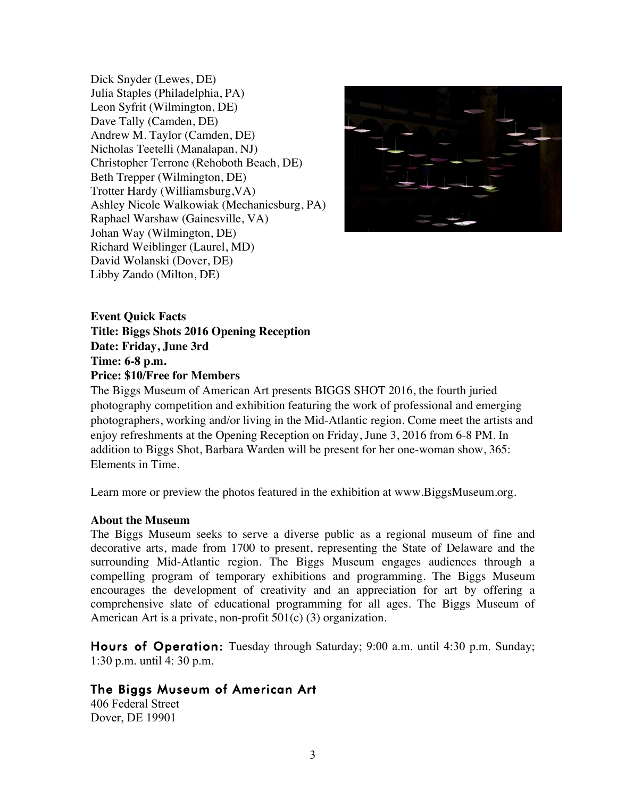Dick Snyder (Lewes, DE) Julia Staples (Philadelphia, PA) Leon Syfrit (Wilmington, DE) Dave Tally (Camden, DE) Andrew M. Taylor (Camden, DE) Nicholas Teetelli (Manalapan, NJ) Christopher Terrone (Rehoboth Beach, DE) Beth Trepper (Wilmington, DE) Trotter Hardy (Williamsburg,VA) Ashley Nicole Walkowiak (Mechanicsburg, PA) Raphael Warshaw (Gainesville, VA) Johan Way (Wilmington, DE) Richard Weiblinger (Laurel, MD) David Wolanski (Dover, DE) Libby Zando (Milton, DE)



**Event Quick Facts Title: Biggs Shots 2016 Opening Reception Date: Friday, June 3rd Time: 6-8 p.m. Price: \$10/Free for Members**

The Biggs Museum of American Art presents BIGGS SHOT 2016, the fourth juried photography competition and exhibition featuring the work of professional and emerging photographers, working and/or living in the Mid-Atlantic region. Come meet the artists and enjoy refreshments at the Opening Reception on Friday, June 3, 2016 from 6-8 PM. In addition to Biggs Shot, Barbara Warden will be present for her one-woman show, 365: Elements in Time.

Learn more or preview the photos featured in the exhibition at www.BiggsMuseum.org.

## **About the Museum**

The Biggs Museum seeks to serve a diverse public as a regional museum of fine and decorative arts, made from 1700 to present, representing the State of Delaware and the surrounding Mid-Atlantic region. The Biggs Museum engages audiences through a compelling program of temporary exhibitions and programming. The Biggs Museum encourages the development of creativity and an appreciation for art by offering a comprehensive slate of educational programming for all ages. The Biggs Museum of American Art is a private, non-profit 501(c) (3) organization.

Hours of Operation: Tuesday through Saturday; 9:00 a.m. until 4:30 p.m. Sunday; 1:30 p.m. until 4: 30 p.m.

## The Biggs Museum of American Art

406 Federal Street Dover, DE 19901